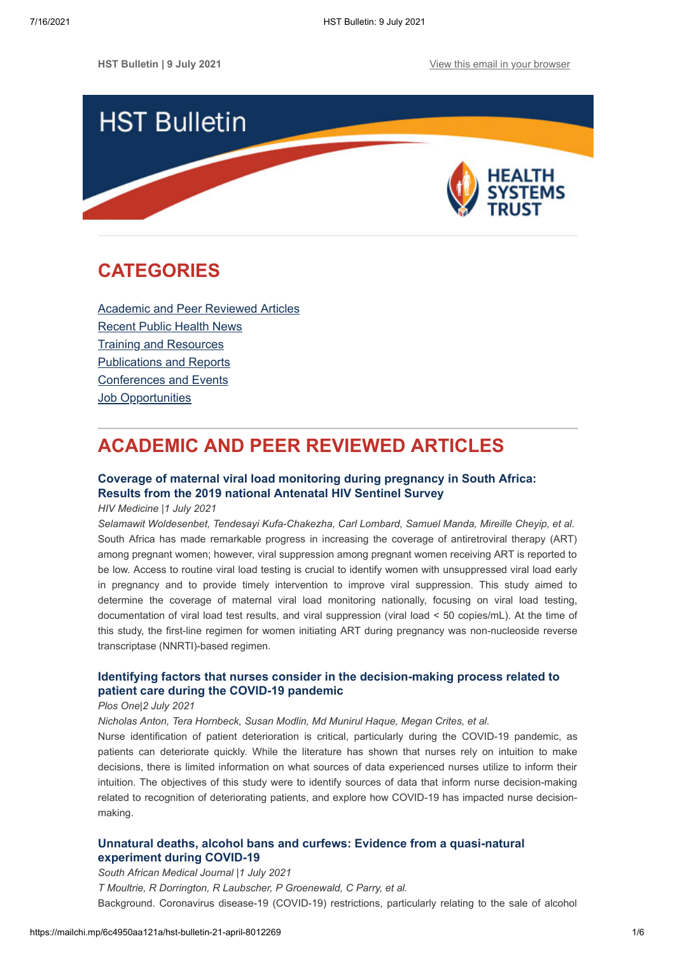

## <span id="page-0-1"></span>**CATEGORIES**

[Academic and Peer Reviewed Articles](#page-0-0) [Recent Public Health News](#page-1-0) Training and Resources [Publications and Reports](#page-3-0) [Conferences and Events](#page-4-0) **[Job Opportunities](#page-5-0)** 

# <span id="page-0-0"></span>**ACADEMIC AND PEER REVIEWED ARTICLES**

### **[Coverage of maternal viral load monitoring during pregnancy in South Africa:](https://onlinelibrary.wiley.com/doi/full/10.1111/hiv.13126) Results from the 2019 national Antenatal HIV Sentinel Survey**

*HIV Medicine |1 July 2021*

*Selamawit Woldesenbet, Tendesayi Kufa-Chakezha, Carl Lombard, Samuel Manda, Mireille Cheyip, et al.* South Africa has made remarkable progress in increasing the coverage of antiretroviral therapy (ART) among pregnant women; however, viral suppression among pregnant women receiving ART is reported to be low. Access to routine viral load testing is crucial to identify women with unsuppressed viral load early in pregnancy and to provide timely intervention to improve viral suppression. This study aimed to determine the coverage of maternal viral load monitoring nationally, focusing on viral load testing, documentation of viral load test results, and viral suppression (viral load < 50 copies/mL). At the time of this study, the first-line regimen for women initiating ART during pregnancy was non-nucleoside reverse transcriptase (NNRTI)-based regimen.

### **[Identifying factors that nurses consider in the decision-making process related to](https://journals.plos.org/plosone/article?id=10.1371/journal.pone.0254077) patient care during the COVID-19 pandemic**

#### *Plos One|2 July 2021*

*Nicholas Anton, Tera Hornbeck, Susan Modlin, Md Munirul Haque, Megan Crites, et al.*

Nurse identification of patient deterioration is critical, particularly during the COVID-19 pandemic, as patients can deteriorate quickly. While the literature has shown that nurses rely on intuition to make decisions, there is limited information on what sources of data experienced nurses utilize to inform their intuition. The objectives of this study were to identify sources of data that inform nurse decision-making related to recognition of deteriorating patients, and explore how COVID-19 has impacted nurse decisionmaking.

### **[Unnatural deaths, alcohol bans and curfews: Evidence from a quasi-natural](http://www.samj.org.za/index.php/samj/article/view/13345) experiment during COVID-19**

*South African Medical Journal |1 July 2021 T Moultrie, R Dorrington, R Laubscher, P Groenewald, C Parry, et al.* Background. Coronavirus disease-19 (COVID-19) restrictions, particularly relating to the sale of alcohol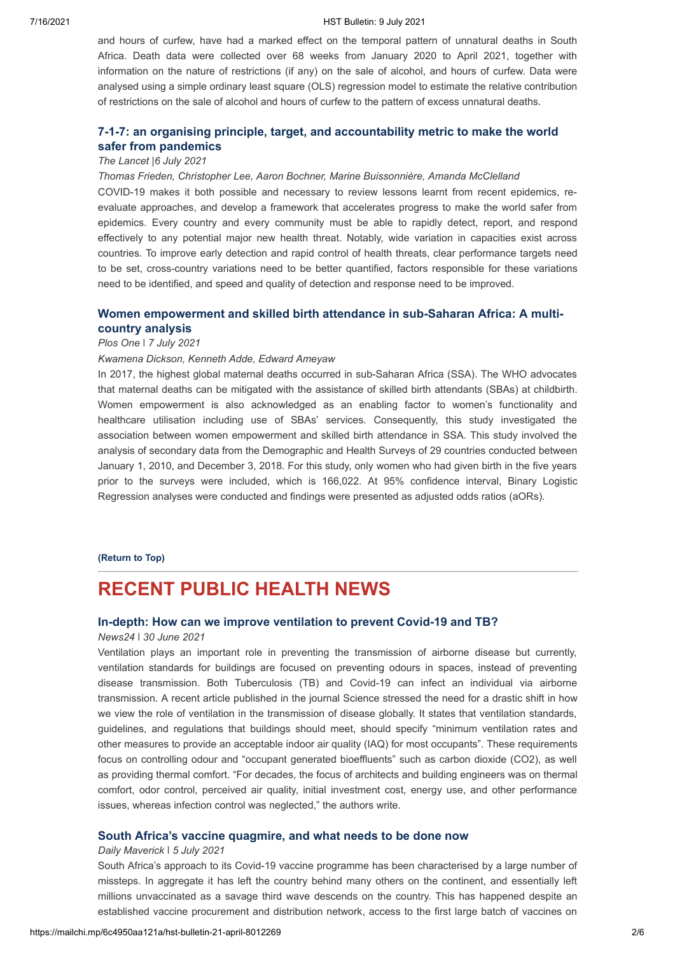#### 7/16/2021 HST Bulletin: 9 July 2021

and hours of curfew, have had a marked effect on the temporal pattern of unnatural deaths in South Africa. Death data were collected over 68 weeks from January 2020 to April 2021, together with information on the nature of restrictions (if any) on the sale of alcohol, and hours of curfew. Data were analysed using a simple ordinary least square (OLS) regression model to estimate the relative contribution of restrictions on the sale of alcohol and hours of curfew to the pattern of excess unnatural deaths.

### **[7-1-7: an organising principle, target, and accountability metric to make the world](https://www.thelancet.com/journals/lancet/article/PIIS0140-6736(21)01250-2/fulltext) safer from pandemics**

### *The Lancet |6 July 2021*

### *Thomas Frieden, Christopher Lee, Aaron Bochner, Marine Buissonnière, Amanda McClelland*

COVID-19 makes it both possible and necessary to review lessons learnt from recent epidemics, reevaluate approaches, and develop a framework that accelerates progress to make the world safer from epidemics. Every country and every community must be able to rapidly detect, report, and respond effectively to any potential major new health threat. Notably, wide variation in capacities exist across countries. To improve early detection and rapid control of health threats, clear performance targets need to be set, cross-country variations need to be better quantified, factors responsible for these variations need to be identified, and speed and quality of detection and response need to be improved.

### **[Women empowerment and skilled birth attendance in sub-Saharan Africa: A multi](https://journals.plos.org/plosone/article?id=10.1371/journal.pone.0254281)country analysis**

#### *Plos One* ǀ *7 July 2021*

#### *Kwamena Dickson, Kenneth Adde, Edward Ameyaw*

In 2017, the highest global maternal deaths occurred in sub-Saharan Africa (SSA). The WHO advocates that maternal deaths can be mitigated with the assistance of skilled birth attendants (SBAs) at childbirth. Women empowerment is also acknowledged as an enabling factor to women's functionality and healthcare utilisation including use of SBAs' services. Consequently, this study investigated the association between women empowerment and skilled birth attendance in SSA. This study involved the analysis of secondary data from the Demographic and Health Surveys of 29 countries conducted between January 1, 2010, and December 3, 2018. For this study, only women who had given birth in the five years prior to the surveys were included, which is 166,022. At 95% confidence interval, Binary Logistic Regression analyses were conducted and findings were presented as adjusted odds ratios (aORs).

#### **[\(Return to Top\)](#page-0-1)**

## <span id="page-1-0"></span>**RECENT PUBLIC HEALTH NEWS**

### **[In-depth: How can we improve ventilation to prevent Covid-19 and TB?](https://www.news24.com/health24/news/public-health/in-depth-how-can-we-improve-ventilation-to-prevent-covid-19-and-tb-20210630)**

### *News24 ǀ 30 June 2021*

Ventilation plays an important role in preventing the transmission of airborne disease but currently, ventilation standards for buildings are focused on preventing odours in spaces, instead of preventing disease transmission. Both Tuberculosis (TB) and Covid-19 can infect an individual via airborne transmission. A recent article published in the journal Science stressed the need for a drastic shift in how we view the role of ventilation in the transmission of disease globally. It states that ventilation standards, guidelines, and regulations that buildings should meet, should specify "minimum ventilation rates and other measures to provide an acceptable indoor air quality (IAQ) for most occupants". These requirements focus on controlling odour and "occupant generated bioeffluents" such as carbon dioxide (CO2), as well as providing thermal comfort. "For decades, the focus of architects and building engineers was on thermal comfort, odor control, perceived air quality, initial investment cost, energy use, and other performance issues, whereas infection control was neglected," the authors write.

### **[South Africa's vaccine quagmire, and what needs to be done now](https://www.dailymaverick.co.za/article/2021-07-05-south-africas-vaccine-quagmire-and-what-needs-to-be-done-now/?utm_campaign=snd-autopilot)**

#### *Daily Maverick ǀ 5 July 2021*

South Africa's approach to its Covid-19 vaccine programme has been characterised by a large number of missteps. In aggregate it has left the country behind many others on the continent, and essentially left millions unvaccinated as a savage third wave descends on the country. This has happened despite an established vaccine procurement and distribution network, access to the first large batch of vaccines on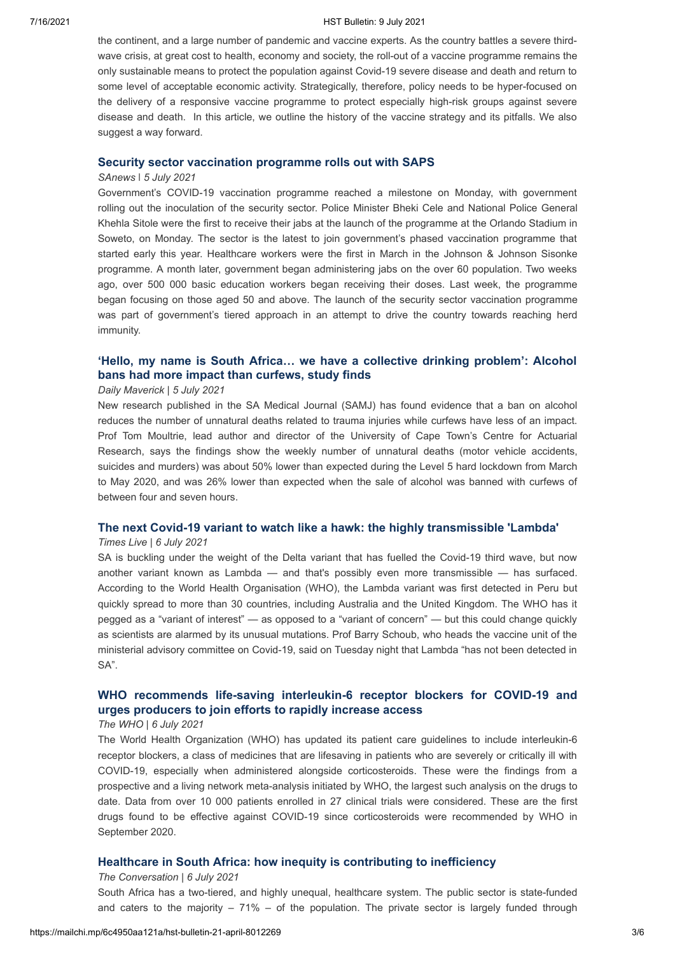#### 7/16/2021 HST Bulletin: 9 July 2021

the continent, and a large number of pandemic and vaccine experts. As the country battles a severe thirdwave crisis, at great cost to health, economy and society, the roll-out of a vaccine programme remains the only sustainable means to protect the population against Covid-19 severe disease and death and return to some level of acceptable economic activity. Strategically, therefore, policy needs to be hyper-focused on the delivery of a responsive vaccine programme to protect especially high-risk groups against severe disease and death. In this article, we outline the history of the vaccine strategy and its pitfalls. We also suggest a way forward.

### **[Security sector vaccination programme rolls out with SAPS](https://www.sanews.gov.za/south-africa/security-sector-vaccination-programme-rolls-out-saps)**

#### *SAnews ǀ 5 July 2021*

Government's COVID-19 vaccination programme reached a milestone on Monday, with government rolling out the inoculation of the security sector. Police Minister Bheki Cele and National Police General Khehla Sitole were the first to receive their jabs at the launch of the programme at the Orlando Stadium in Soweto, on Monday. The sector is the latest to join government's phased vaccination programme that started early this year. Healthcare workers were the first in March in the Johnson & Johnson Sisonke programme. A month later, government began administering jabs on the over 60 population. Two weeks ago, over 500 000 basic education workers began receiving their doses. Last week, the programme began focusing on those aged 50 and above. The launch of the security sector vaccination programme was part of government's tiered approach in an attempt to drive the country towards reaching herd immunity.

### **'Hello, my [name is South Africa… we have a collective drinking problem': Alcohol](https://www.dailymaverick.co.za/article/2021-07-05-hello-my-name-is-south-africa-we-have-a-collective-drinking-problem-alcohol-bans-had-more-impact-than-curfews-study-finds/) bans had more impact than curfews, study finds**

### *Daily Maverick* | *5 July 2021*

New research published in the SA Medical Journal (SAMJ) has found evidence that a ban on alcohol reduces the number of unnatural deaths related to trauma injuries while curfews have less of an impact. Prof Tom Moultrie, lead author and director of the University of Cape Town's Centre for Actuarial Research, says the findings show the weekly number of unnatural deaths (motor vehicle accidents, suicides and murders) was about 50% lower than expected during the Level 5 hard lockdown from March to May 2020, and was 26% lower than expected when the sale of alcohol was banned with curfews of between four and seven hours.

### **[The next Covid-19 variant to watch like a hawk: the highly transmissible 'Lambda'](https://www.timeslive.co.za/news/south-africa/2021-07-06-the-next-covid-19-variant-to-watch-like-a-hawk-the-highly-transmissible-lambda/)**

#### *Times Live* | *6 July 2021*

SA is buckling under the weight of the Delta variant that has fuelled the Covid-19 third wave, but now another variant known as Lambda — and that's possibly even more transmissible — has surfaced. According to the World Health Organisation (WHO), the Lambda variant was first detected in Peru but quickly spread to more than 30 countries, including Australia and the United Kingdom. The WHO has it pegged as a "variant of interest" — as opposed to a "variant of concern" — but this could change quickly as scientists are alarmed by its unusual mutations. Prof Barry Schoub, who heads the vaccine unit of the ministerial advisory committee on Covid-19, said on Tuesday night that Lambda "has not been detected in SA".

### **[WHO recommends life-saving interleukin-6 receptor blockers for COVID-19 and](https://www.who.int/news/item/06-07-2021-who-recommends-life-saving-interleukin-6-receptor-blockers-for-covid-19-and-urges-producers-to-join-efforts-to-rapidly-increase-access) urges producers to join efforts to rapidly increase access**

### *The WHO* | *6 July 2021*

The World Health Organization (WHO) has updated its patient care guidelines to include interleukin-6 receptor blockers, a class of medicines that are lifesaving in patients who are severely or critically ill with COVID-19, especially when administered alongside corticosteroids. These were the findings from a prospective and a living network meta-analysis initiated by WHO, the largest such analysis on the drugs to date. Data from over 10 000 patients enrolled in 27 clinical trials were considered. These are the first drugs found to be effective against COVID-19 since corticosteroids were recommended by WHO in September 2020.

### **[Healthcare in South Africa: how inequity is contributing to inefficiency](https://theconversation.com/healthcare-in-south-africa-how-inequity-is-contributing-to-inefficiency-163753)**

### *The Conversation* | *6 July 2021*

South Africa has a two-tiered, and highly unequal, healthcare system. The public sector is state-funded and caters to the majority  $-71\%$  – of the population. The private sector is largely funded through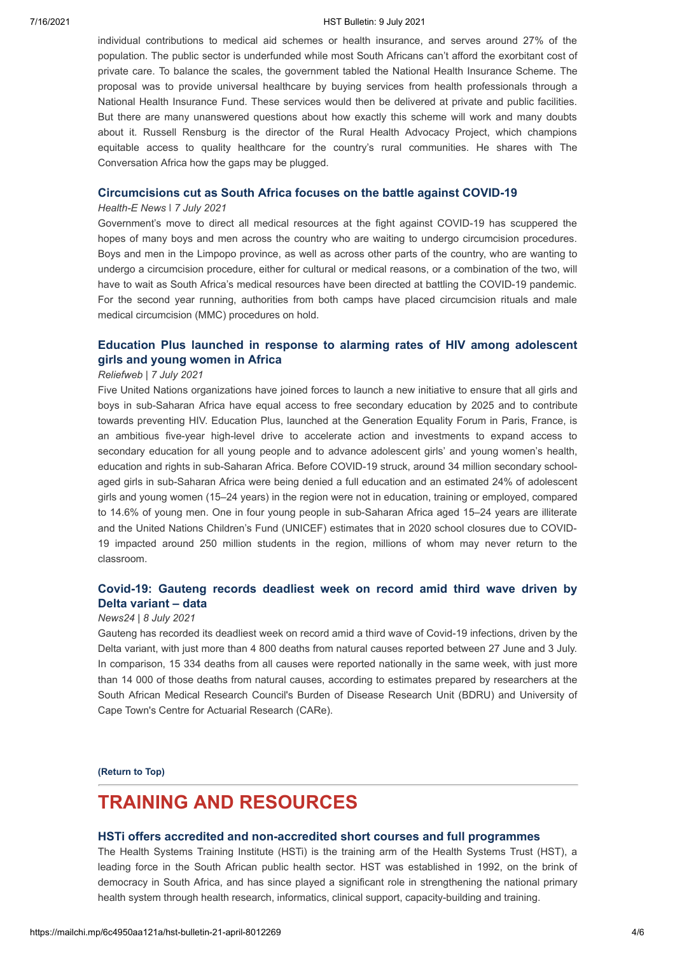#### 7/16/2021 HST Bulletin: 9 July 2021

individual contributions to medical aid schemes or health insurance, and serves around 27% of the population. The public sector is underfunded while most South Africans can't afford the exorbitant cost of private care. To balance the scales, the government tabled the National Health Insurance Scheme. The proposal was to provide universal healthcare by buying services from health professionals through a National Health Insurance Fund. These services would then be delivered at private and public facilities. But there are many unanswered questions about how exactly this scheme will work and many doubts about it. Russell Rensburg is the director of the Rural Health Advocacy Project, which champions equitable access to quality healthcare for the country's rural communities. He shares with The Conversation Africa how the gaps may be plugged.

### **[Circumcisions cut as South Africa focuses on the battle against COVID-19](https://health-e.org.za/2021/07/07/circumcisions-get-the-cut-as-south-africa-focuses-on-the-battle-against-covid-19/)**

#### *Health-E News ǀ 7 July 2021*

Government's move to direct all medical resources at the fight against COVID-19 has scuppered the hopes of many boys and men across the country who are waiting to undergo circumcision procedures. Boys and men in the Limpopo province, as well as across other parts of the country, who are wanting to undergo a circumcision procedure, either for cultural or medical reasons, or a combination of the two, will have to wait as South Africa's medical resources have been directed at battling the COVID-19 pandemic. For the second year running, authorities from both camps have placed circumcision rituals and male medical circumcision (MMC) procedures on hold.

### **[Education Plus launched in response to alarming rates of HIV among adolescent](https://reliefweb.int/report/world/education-plus-launched-response-alarming-rates-hiv-among-adolescent-girls-and-young) girls and young women in Africa**

#### *Reliefweb* | *7 July 2021*

Five United Nations organizations have joined forces to launch a new initiative to ensure that all girls and boys in sub-Saharan Africa have equal access to free secondary education by 2025 and to contribute towards preventing HIV. Education Plus, launched at the Generation Equality Forum in Paris, France, is an ambitious five-year high-level drive to accelerate action and investments to expand access to secondary education for all young people and to advance adolescent girls' and young women's health, education and rights in sub-Saharan Africa. Before COVID-19 struck, around 34 million secondary schoolaged girls in sub-Saharan Africa were being denied a full education and an estimated 24% of adolescent girls and young women (15–24 years) in the region were not in education, training or employed, compared to 14.6% of young men. One in four young people in sub-Saharan Africa aged 15–24 years are illiterate and the United Nations Children's Fund (UNICEF) estimates that in 2020 school closures due to COVID-19 impacted around 250 million students in the region, millions of whom may never return to the classroom.

### **[Covid-19: Gauteng records deadliest week on record amid third wave driven by](https://www.news24.com/news24/southafrica/investigations/covid19/covid-19-gauteng-records-deadliest-week-on-record-amid-third-wave-driven-by-delta-variant-data-20210708) Delta variant – data**

### *News24* | *8 July 2021*

Gauteng has recorded its deadliest week on record amid a third wave of Covid-19 infections, driven by the Delta variant, with just more than 4 800 deaths from natural causes reported between 27 June and 3 July. In comparison, 15 334 deaths from all causes were reported nationally in the same week, with just more than 14 000 of those deaths from natural causes, according to estimates prepared by researchers at the South African Medical Research Council's Burden of Disease Research Unit (BDRU) and University of Cape Town's Centre for Actuarial Research (CARe).

**[\(Return to Top\)](#page-0-1)**

## <span id="page-3-0"></span>**TRAINING AND RESOURCES**

### **[HSTi offers accredited and non-accredited short courses and full programmes](https://www.hstinstitute.co.za/Training)**

The Health Systems Training Institute (HSTi) is the training arm of the Health Systems Trust (HST), a leading force in the South African public health sector. HST was established in 1992, on the brink of democracy in South Africa, and has since played a significant role in strengthening the national primary health system through health research, informatics, clinical support, capacity-building and training.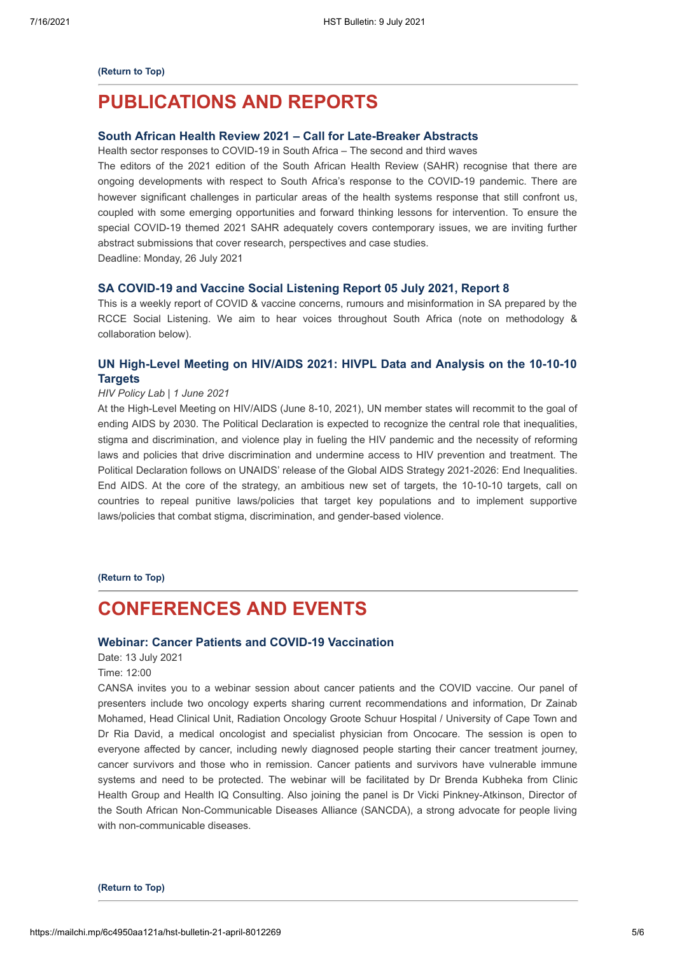#### **[\(Return to Top\)](#page-0-1)**

## **PUBLICATIONS AND REPORTS**

### **[South African Health Review 2021 – Call for Late-Breaker Abstracts](https://www.hst.org.za/media/Pages/Call-For-Late-Breaker-Abstracts.aspx)**

Health sector responses to COVID-19 in South Africa – The second and third waves

The editors of the 2021 edition of the South African Health Review (SAHR) recognise that there are ongoing developments with respect to South Africa's response to the COVID-19 pandemic. There are however significant challenges in particular areas of the health systems response that still confront us, coupled with some emerging opportunities and forward thinking lessons for intervention. To ensure the special COVID-19 themed 2021 SAHR adequately covers contemporary issues, we are inviting further abstract submissions that cover research, perspectives and case studies.

Deadline: Monday, 26 July 2021

#### **[SA COVID-19 and Vaccine Social Listening Report 05 July 2021, Report 8](https://sacoronavirus.co.za/2021/07/05/sa-covid-19-and-vaccine-social-listening-report-05-july-2021-report-8/)**

This is a weekly report of COVID & vaccine concerns, rumours and misinformation in SA prepared by the RCCE Social Listening. We aim to hear voices throughout South Africa (note on methodology & collaboration below).

### **[UN High-Level Meeting on HIV/AIDS 2021: HIVPL Data and Analysis on the 10-10-10](https://www.hivpolicylab.org/hlm2021) Targets**

### *HIV Policy Lab* | *1 June 2021*

At the High-Level Meeting on HIV/AIDS (June 8-10, 2021), UN member states will recommit to the goal of ending AIDS by 2030. The Political Declaration is expected to recognize the central role that inequalities, stigma and discrimination, and violence play in fueling the HIV pandemic and the necessity of reforming laws and policies that drive discrimination and undermine access to HIV prevention and treatment. The Political Declaration follows on UNAIDS' release of the Global AIDS Strategy 2021-2026: End Inequalities. End AIDS. At the core of the strategy, an ambitious new set of targets, the 10-10-10 targets, call on countries to repeal punitive laws/policies that target key populations and to implement supportive laws/policies that combat stigma, discrimination, and gender-based violence.

**[\(Return to Top\)](#page-0-1)**

## <span id="page-4-0"></span>**CONFERENCES AND EVENTS**

### **[Webinar: Cancer Patients and COVID-19 Vaccination](https://www.quicket.co.za/events/145151-cancer-patients-and-covid-19-vaccination-webinar/#/)**

Date: 13 July 2021

Time: 12:00

CANSA invites you to a webinar session about cancer patients and the COVID vaccine. Our panel of presenters include two oncology experts sharing current recommendations and information, Dr Zainab Mohamed, Head Clinical Unit, Radiation Oncology Groote Schuur Hospital / University of Cape Town and Dr Ria David, a medical oncologist and specialist physician from Oncocare. The session is open to everyone affected by cancer, including newly diagnosed people starting their cancer treatment journey, cancer survivors and those who in remission. Cancer patients and survivors have vulnerable immune systems and need to be protected. The webinar will be facilitated by Dr Brenda Kubheka from Clinic Health Group and Health IQ Consulting. Also joining the panel is Dr Vicki Pinkney-Atkinson, Director of the South African Non-Communicable Diseases Alliance (SANCDA), a strong advocate for people living with non-communicable diseases.

**[\(Return to Top\)](#page-0-1)**